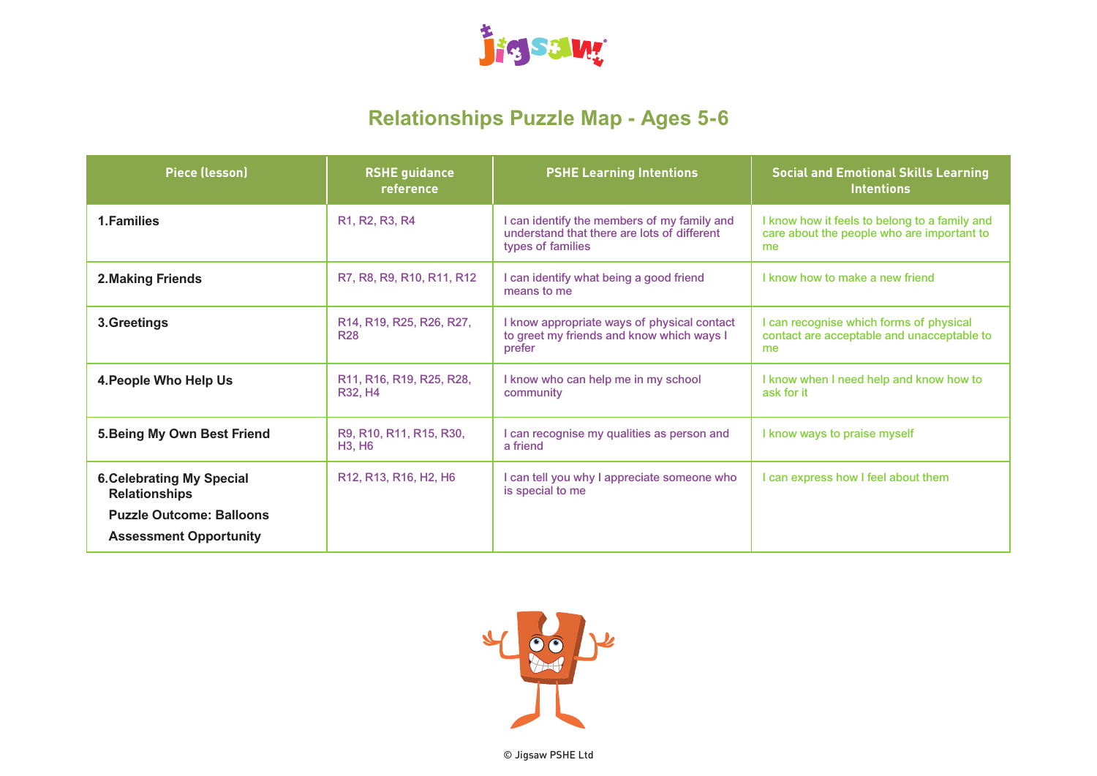

# **Relationships Puzzle Map - Ages 5-6**

| <b>Piece (lesson)</b>                                                                                                        | <b>RSHE guidance</b><br>reference                                                                    | <b>PSHE Learning Intentions</b>                                                                                 | <b>Social and Emotional Skills Learning</b><br><b>Intentions</b>                                  |
|------------------------------------------------------------------------------------------------------------------------------|------------------------------------------------------------------------------------------------------|-----------------------------------------------------------------------------------------------------------------|---------------------------------------------------------------------------------------------------|
| 1. Families                                                                                                                  | R1, R2, R3, R4                                                                                       | I can identify the members of my family and<br>understand that there are lots of different<br>types of families | I know how it feels to belong to a family and<br>care about the people who are important to<br>me |
| 2. Making Friends                                                                                                            | R7, R8, R9, R10, R11, R12                                                                            | I can identify what being a good friend<br>means to me                                                          | I know how to make a new friend                                                                   |
| 3.Greetings                                                                                                                  | R14, R19, R25, R26, R27,<br><b>R28</b>                                                               | I know appropriate ways of physical contact<br>to greet my friends and know which ways I<br>prefer              | I can recognise which forms of physical<br>contact are acceptable and unacceptable to<br>me       |
| 4. People Who Help Us                                                                                                        | R <sub>11</sub> , R <sub>16</sub> , R <sub>19</sub> , R <sub>25</sub> , R <sub>28</sub> ,<br>R32, H4 | I know who can help me in my school<br>community                                                                | I know when I need help and know how to<br>ask for it                                             |
| 5. Being My Own Best Friend                                                                                                  | R9, R10, R11, R15, R30,<br><b>H3, H6</b>                                                             | I can recognise my qualities as person and<br>a friend                                                          | I know ways to praise myself                                                                      |
| <b>6. Celebrating My Special</b><br><b>Relationships</b><br><b>Puzzle Outcome: Balloons</b><br><b>Assessment Opportunity</b> | R <sub>12</sub> , R <sub>13</sub> , R <sub>16</sub> , H <sub>2</sub> , H <sub>6</sub>                | I can tell you why I appreciate someone who<br>is special to me                                                 | I can express how I feel about them                                                               |

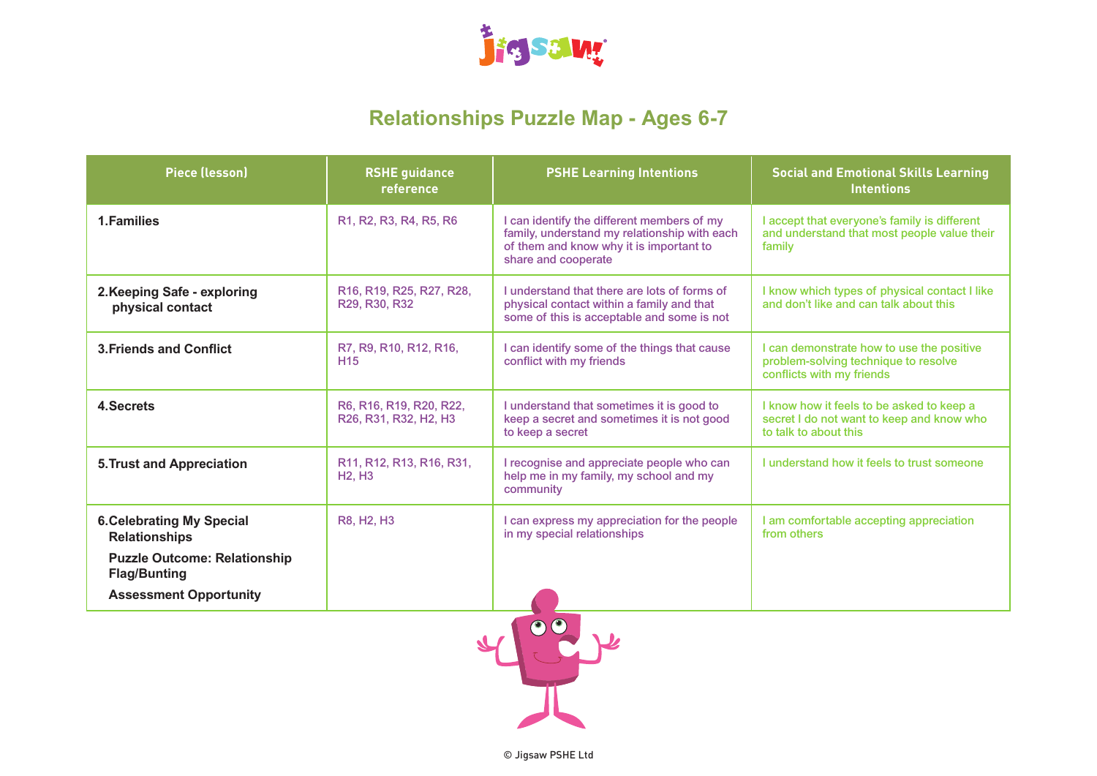

# **Relationships Puzzle Map - Ages 6-7**

| <b>RSHE guidance</b><br>reference                                                                          | <b>PSHE Learning Intentions</b>                                                                                                                              | <b>Social and Emotional Skills Learning</b><br><b>Intentions</b>                                                |
|------------------------------------------------------------------------------------------------------------|--------------------------------------------------------------------------------------------------------------------------------------------------------------|-----------------------------------------------------------------------------------------------------------------|
| R <sub>1</sub> , R <sub>2</sub> , R <sub>3</sub> , R <sub>4</sub> , R <sub>5</sub> , R <sub>6</sub>        | I can identify the different members of my<br>family, understand my relationship with each<br>of them and know why it is important to<br>share and cooperate | I accept that everyone's family is different<br>and understand that most people value their<br>family           |
| R <sub>16</sub> , R <sub>19</sub> , R <sub>25</sub> , R <sub>27</sub> , R <sub>28</sub> ,<br>R29, R30, R32 | Lunderstand that there are lots of forms of<br>physical contact within a family and that<br>some of this is acceptable and some is not                       | I know which types of physical contact I like<br>and don't like and can talk about this                         |
| R7, R9, R10, R12, R16,<br>H <sub>15</sub>                                                                  | I can identify some of the things that cause<br>conflict with my friends                                                                                     | I can demonstrate how to use the positive<br>problem-solving technique to resolve<br>conflicts with my friends  |
| R6, R16, R19, R20, R22,<br>R26, R31, R32, H2, H3                                                           | I understand that sometimes it is good to<br>keep a secret and sometimes it is not good<br>to keep a secret                                                  | I know how it feels to be asked to keep a<br>secret I do not want to keep and know who<br>to talk to about this |
| R11, R12, R13, R16, R31,<br><b>H2, H3</b>                                                                  | I recognise and appreciate people who can<br>help me in my family, my school and my<br>community                                                             | I understand how it feels to trust someone                                                                      |
| R8, H2, H3                                                                                                 | I can express my appreciation for the people<br>in my special relationships                                                                                  | I am comfortable accepting appreciation<br>from others                                                          |
|                                                                                                            |                                                                                                                                                              |                                                                                                                 |
|                                                                                                            |                                                                                                                                                              |                                                                                                                 |

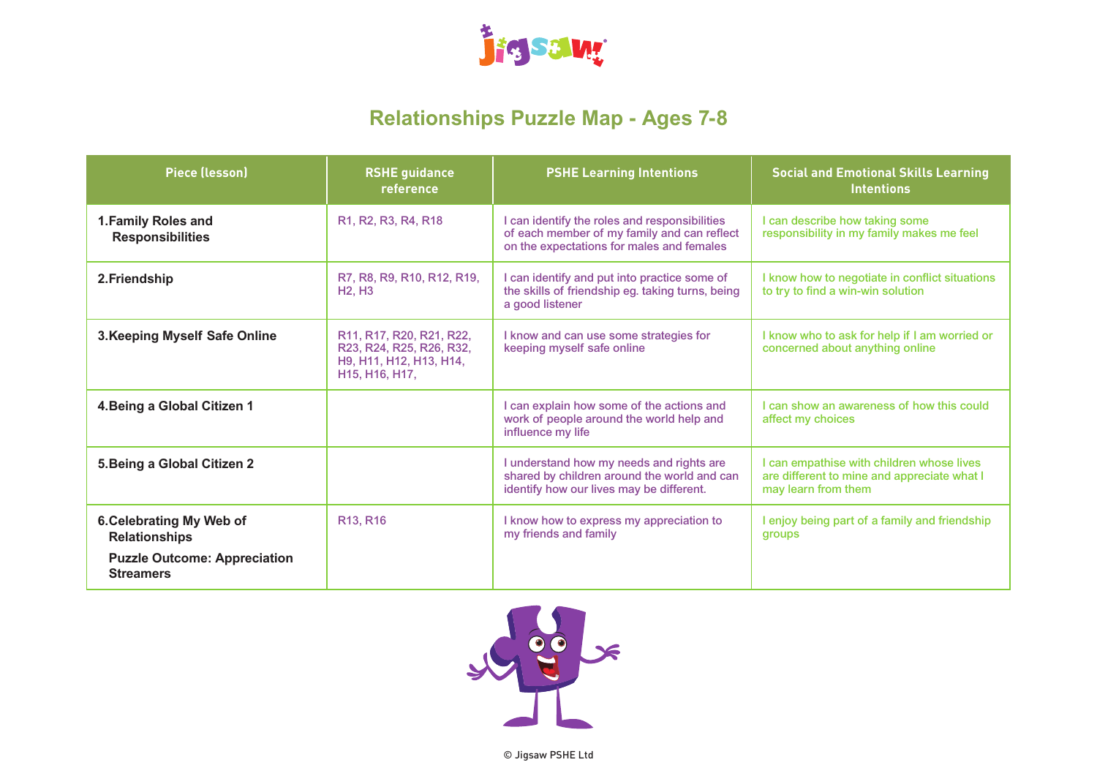

# **Relationships Puzzle Map - Ages 7-8**

| <b>Piece (lesson)</b>                                                                                       | <b>RSHE guidance</b><br>reference                                                                                                                                                                         | <b>PSHE Learning Intentions</b>                                                                                                           | <b>Social and Emotional Skills Learning</b><br><b>Intentions</b>                                                |
|-------------------------------------------------------------------------------------------------------------|-----------------------------------------------------------------------------------------------------------------------------------------------------------------------------------------------------------|-------------------------------------------------------------------------------------------------------------------------------------------|-----------------------------------------------------------------------------------------------------------------|
| 1. Family Roles and<br><b>Responsibilities</b>                                                              | R <sub>1</sub> , R <sub>2</sub> , R <sub>3</sub> , R <sub>4</sub> , R <sub>18</sub>                                                                                                                       | I can identify the roles and responsibilities<br>of each member of my family and can reflect<br>on the expectations for males and females | I can describe how taking some<br>responsibility in my family makes me feel                                     |
| 2. Friendship                                                                                               | R7, R8, R9, R10, R12, R19,<br><b>H2. H3</b>                                                                                                                                                               | I can identify and put into practice some of<br>the skills of friendship eg. taking turns, being<br>a good listener                       | I know how to negotiate in conflict situations<br>to try to find a win-win solution                             |
| 3. Keeping Myself Safe Online                                                                               | R11, R17, R20, R21, R22,<br>R23, R24, R25, R26, R32,<br>H <sub>9</sub> , H <sub>11</sub> , H <sub>12</sub> , H <sub>13</sub> , H <sub>14</sub> ,<br>H <sub>15</sub> , H <sub>16</sub> , H <sub>17</sub> , | I know and can use some strategies for<br>keeping myself safe online                                                                      | I know who to ask for help if I am worried or<br>concerned about anything online                                |
| 4. Being a Global Citizen 1                                                                                 |                                                                                                                                                                                                           | I can explain how some of the actions and<br>work of people around the world help and<br>influence my life                                | I can show an awareness of how this could<br>affect my choices                                                  |
| 5. Being a Global Citizen 2                                                                                 |                                                                                                                                                                                                           | I understand how my needs and rights are<br>shared by children around the world and can<br>identify how our lives may be different.       | I can empathise with children whose lives<br>are different to mine and appreciate what I<br>may learn from them |
| 6. Celebrating My Web of<br><b>Relationships</b><br><b>Puzzle Outcome: Appreciation</b><br><b>Streamers</b> | R13, R16                                                                                                                                                                                                  | I know how to express my appreciation to<br>my friends and family                                                                         | I enjoy being part of a family and friendship<br>groups                                                         |

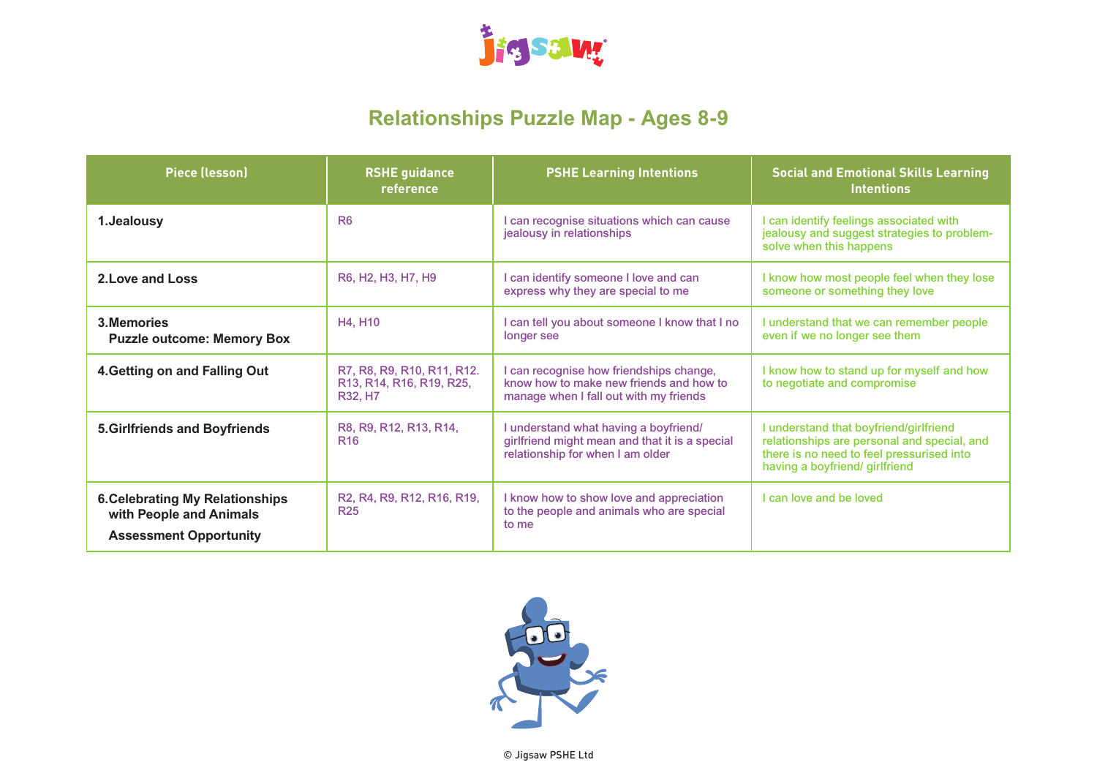

# **Relationships Puzzle Map - Ages 8-9**

| <b>Piece (lesson)</b>                                                                              | <b>RSHE guidance</b><br>reference                                                                                                  | <b>PSHE Learning Intentions</b>                                                                                              | <b>Social and Emotional Skills Learning</b><br><b>Intentions</b>                                                                                                     |
|----------------------------------------------------------------------------------------------------|------------------------------------------------------------------------------------------------------------------------------------|------------------------------------------------------------------------------------------------------------------------------|----------------------------------------------------------------------------------------------------------------------------------------------------------------------|
| 1.Jealousy                                                                                         | <b>R6</b>                                                                                                                          | I can recognise situations which can cause<br>jealousy in relationships                                                      | I can identify feelings associated with<br>jealousy and suggest strategies to problem-<br>solve when this happens                                                    |
| 2. Love and Loss                                                                                   | R6, H2, H3, H7, H9                                                                                                                 | I can identify someone I love and can<br>express why they are special to me                                                  | I know how most people feel when they lose<br>someone or something they love                                                                                         |
| 3. Memories<br><b>Puzzle outcome: Memory Box</b>                                                   | H4, H10                                                                                                                            | I can tell you about someone I know that I no<br>longer see                                                                  | I understand that we can remember people<br>even if we no longer see them                                                                                            |
| 4. Getting on and Falling Out                                                                      | R7, R8, R9, R10, R11, R12.<br>R <sub>13</sub> , R <sub>14</sub> , R <sub>16</sub> , R <sub>19</sub> , R <sub>25</sub> ,<br>R32, H7 | I can recognise how friendships change,<br>know how to make new friends and how to<br>manage when I fall out with my friends | I know how to stand up for myself and how<br>to negotiate and compromise                                                                                             |
| <b>5.Girlfriends and Boyfriends</b>                                                                | R8, R9, R12, R13, R14,<br><b>R16</b>                                                                                               | I understand what having a boyfriend/<br>girlfriend might mean and that it is a special<br>relationship for when I am older  | I understand that boyfriend/girlfriend<br>relationships are personal and special, and<br>there is no need to feel pressurised into<br>having a boyfriend/ girlfriend |
| <b>6. Celebrating My Relationships</b><br>with People and Animals<br><b>Assessment Opportunity</b> | R2, R4, R9, R12, R16, R19,<br><b>R25</b>                                                                                           | I know how to show love and appreciation<br>to the people and animals who are special<br>to me                               | I can love and be loved                                                                                                                                              |

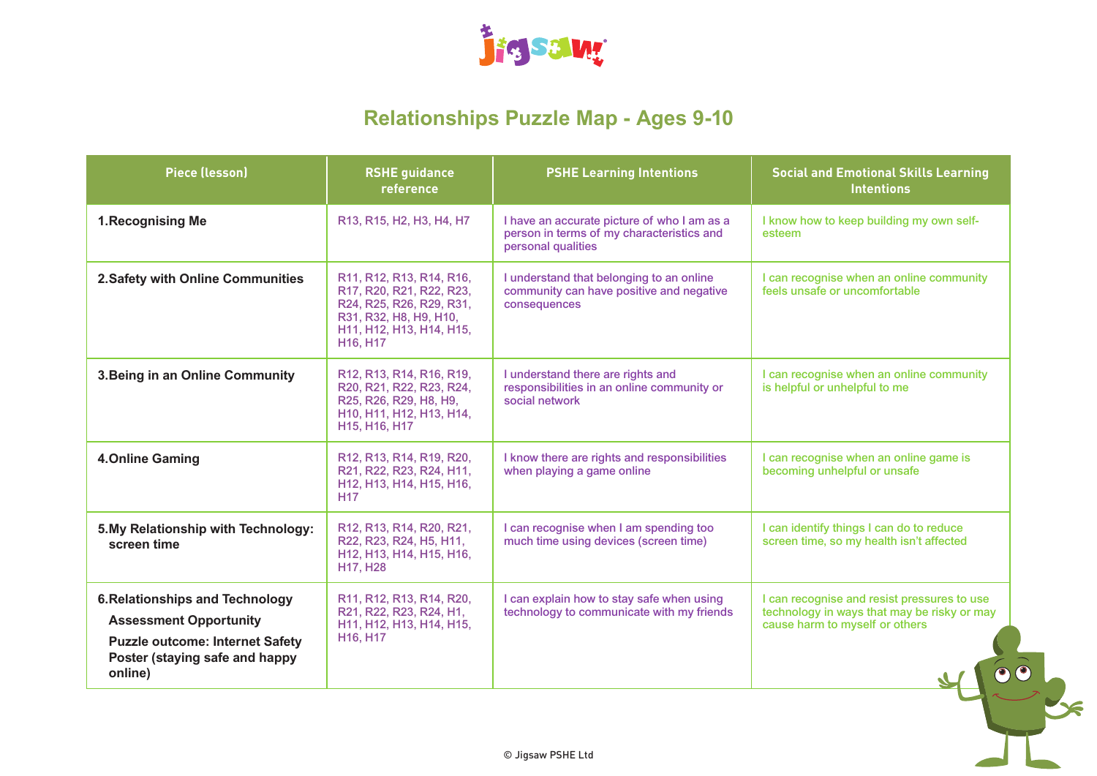

#### **Relationships Puzzle Map - Ages 9-10**

| <b>Piece (lesson)</b>                                                                                                                                          | <b>RSHE</b> guidance<br>reference                                                                                                                                                            | <b>PSHE Learning Intentions</b>                                                                                | <b>Social and Emotional Skills Learning</b><br><b>Intentions</b>                                                             |
|----------------------------------------------------------------------------------------------------------------------------------------------------------------|----------------------------------------------------------------------------------------------------------------------------------------------------------------------------------------------|----------------------------------------------------------------------------------------------------------------|------------------------------------------------------------------------------------------------------------------------------|
| 1. Recognising Me                                                                                                                                              | R13, R15, H2, H3, H4, H7                                                                                                                                                                     | I have an accurate picture of who I am as a<br>person in terms of my characteristics and<br>personal qualities | I know how to keep building my own self-<br>esteem                                                                           |
| 2. Safety with Online Communities                                                                                                                              | R11, R12, R13, R14, R16,<br>R17, R20, R21, R22, R23,<br>R24, R25, R26, R29, R31,<br>R31, R32, H8, H9, H10,<br>H11, H12, H13, H14, H15,<br>H16, H17                                           | I understand that belonging to an online<br>community can have positive and negative<br>consequences           | I can recognise when an online community<br>feels unsafe or uncomfortable                                                    |
| 3. Being in an Online Community                                                                                                                                | R12, R13, R14, R16, R19,<br>R20, R21, R22, R23, R24,<br>R25, R26, R29, H8, H9,<br>H <sub>10</sub> , H <sub>11</sub> , H <sub>12</sub> , H <sub>13</sub> , H <sub>14</sub> ,<br>H15, H16, H17 | I understand there are rights and<br>responsibilities in an online community or<br>social network              | I can recognise when an online community<br>is helpful or unhelpful to me                                                    |
| <b>4.Online Gaming</b>                                                                                                                                         | R12, R13, R14, R19, R20,<br>R21, R22, R23, R24, H11,<br>H <sub>12</sub> , H <sub>13</sub> , H <sub>14</sub> , H <sub>15</sub> , H <sub>16</sub> ,<br><b>H17</b>                              | I know there are rights and responsibilities<br>when playing a game online                                     | I can recognise when an online game is<br>becoming unhelpful or unsafe                                                       |
| 5. My Relationship with Technology:<br>screen time                                                                                                             | R12, R13, R14, R20, R21,<br>R22, R23, R24, H5, H11,<br>H12, H13, H14, H15, H16,<br>H17, H28                                                                                                  | I can recognise when I am spending too<br>much time using devices (screen time)                                | I can identify things I can do to reduce<br>screen time, so my health isn't affected                                         |
| <b>6. Relationships and Technology</b><br><b>Assessment Opportunity</b><br><b>Puzzle outcome: Internet Safety</b><br>Poster (staying safe and happy<br>online) | R11, R12, R13, R14, R20,<br>R21, R22, R23, R24, H1,<br>H11, H12, H13, H14, H15,<br>H16, H17                                                                                                  | I can explain how to stay safe when using<br>technology to communicate with my friends                         | I can recognise and resist pressures to use<br>technology in ways that may be risky or may<br>cause harm to myself or others |